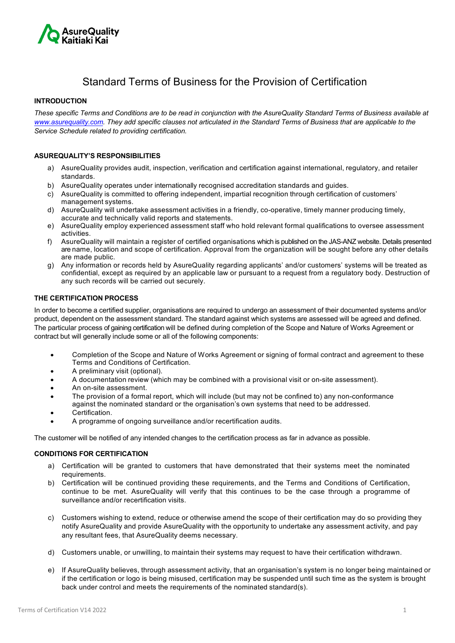

# Standard Terms of Business for the Provision of Certification

## **INTRODUCTION**

*These specific Terms and Conditions are to be read in conjunction with the AsureQuality Standard Terms of Business available at www.asurequality.com. They add specific clauses not articulated in the Standard Terms of Business that are applicable to the Service Schedule related to providing certification.* 

## **ASUREQUALITY'S RESPONSIBILITIES**

- a) AsureQuality provides audit, inspection, verification and certification against international, regulatory, and retailer standards.
- b) AsureQuality operates under internationally recognised accreditation standards and guides.
- c) AsureQuality is committed to offering independent, impartial recognition through certification of customers' management systems.
- d) AsureQuality will undertake assessment activities in a friendly, co-operative, timely manner producing timely, accurate and technically valid reports and statements.
- e) AsureQuality employ experienced assessment staff who hold relevant formal qualifications to oversee assessment activities.
- f) AsureQuality will maintain a register of certified organisations which is published on the JAS-ANZ website. Details presented are name, location and scope of certification. Approval from the organization will be sought before any other details are made public.
- g) Any information or records held by AsureQuality regarding applicants' and/or customers' systems will be treated as confidential, except as required by an applicable law or pursuant to a request from a regulatory body. Destruction of any such records will be carried out securely.

## **THE CERTIFICATION PROCESS**

In order to become a certified supplier, organisations are required to undergo an assessment of their documented systems and/or product, dependent on the assessment standard. The standard against which systems are assessed will be agreed and defined. The particular process of gaining certification will be defined during completion of the Scope and Nature of Works Agreement or contract but will generally include some or all of the following components:

- Completion of the Scope and Nature of Works Agreement or signing of formal contract and agreement to these Terms and Conditions of Certification.
- A preliminary visit (optional).
- A documentation review (which may be combined with a provisional visit or on-site assessment).
- An on-site assessment.
- The provision of a formal report, which will include (but may not be confined to) any non-conformance
- against the nominated standard or the organisation's own systems that need to be addressed.
- Certification.
- A programme of ongoing surveillance and/or recertification audits.

The customer will be notified of any intended changes to the certification process as far in advance as possible.

#### **CONDITIONS FOR CERTIFICATION**

- a) Certification will be granted to customers that have demonstrated that their systems meet the nominated requirements.
- b) Certification will be continued providing these requirements, and the Terms and Conditions of Certification, continue to be met. AsureQuality will verify that this continues to be the case through a programme of surveillance and/or recertification visits.
- c) Customers wishing to extend, reduce or otherwise amend the scope of their certification may do so providing they notify AsureQuality and provide AsureQuality with the opportunity to undertake any assessment activity, and pay any resultant fees, that AsureQuality deems necessary.
- d) Customers unable, or unwilling, to maintain their systems may request to have their certification withdrawn.
- e) If AsureQuality believes, through assessment activity, that an organisation's system is no longer being maintained or if the certification or logo is being misused, certification may be suspended until such time as the system is brought back under control and meets the requirements of the nominated standard(s).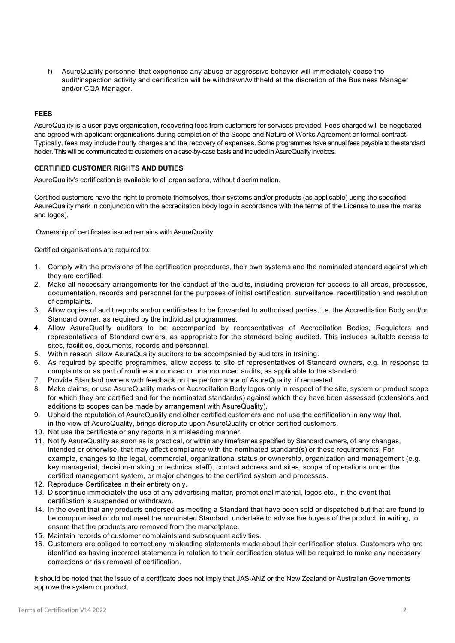f) AsureQuality personnel that experience any abuse or aggressive behavior will immediately cease the audit/inspection activity and certification will be withdrawn/withheld at the discretion of the Business Manager and/or CQA Manager.

# **FEES**

AsureQuality is a user-pays organisation, recovering fees from customers for services provided. Fees charged will be negotiated and agreed with applicant organisations during completion of the Scope and Nature of Works Agreement or formal contract. Typically, fees may include hourly charges and the recovery of expenses. Some programmes have annual fees payable to the standard holder. This will be communicated to customers on a case-by-case basis and included in AsureQuality invoices.

## **CERTIFIED CUSTOMER RIGHTS AND DUTIES**

AsureQuality's certification is available to all organisations, without discrimination.

Certified customers have the right to promote themselves, their systems and/or products (as applicable) using the specified AsureQuality mark in conjunction with the accreditation body logo in accordance with the terms of the License to use the marks and logos).

Ownership of certificates issued remains with AsureQuality.

Certified organisations are required to:

- 1. Comply with the provisions of the certification procedures, their own systems and the nominated standard against which they are certified.
- 2. Make all necessary arrangements for the conduct of the audits, including provision for access to all areas, processes, documentation, records and personnel for the purposes of initial certification, surveillance, recertification and resolution of complaints.
- 3. Allow copies of audit reports and/or certificates to be forwarded to authorised parties, i.e. the Accreditation Body and/or Standard owner, as required by the individual programmes.
- 4. Allow AsureQuality auditors to be accompanied by representatives of Accreditation Bodies, Regulators and representatives of Standard owners, as appropriate for the standard being audited. This includes suitable access to sites, facilities, documents, records and personnel.
- 5. Within reason, allow AsureQuality auditors to be accompanied by auditors in training.
- 6. As required by specific programmes, allow access to site of representatives of Standard owners, e.g. in response to complaints or as part of routine announced or unannounced audits, as applicable to the standard.
- 7. Provide Standard owners with feedback on the performance of AsureQuality, if requested.
- 8. Make claims, or use AsureQuality marks or Accreditation Body logos only in respect of the site, system or product scope for which they are certified and for the nominated standard(s) against which they have been assessed (extensions and additions to scopes can be made by arrangement with AsureQuality).
- 9. Uphold the reputation of AsureQuality and other certified customers and not use the certification in any way that, in the view of AsureQuality, brings disrepute upon AsureQuality or other certified customers.
- 10. Not use the certificate or any reports in a misleading manner.
- 11. Notify AsureQuality as soon as is practical, or within any timeframes specified by Standard owners, of any changes, intended or otherwise, that may affect compliance with the nominated standard(s) or these requirements. For example, changes to the legal, commercial, organizational status or ownership, organization and management (e.g. key managerial, decision-making or technical staff), contact address and sites, scope of operations under the certified management system, or major changes to the certified system and processes.
- 12. Reproduce Certificates in their entirety only.
- 13. Discontinue immediately the use of any advertising matter, promotional material, logos etc., in the event that certification is suspended or withdrawn.
- 14. In the event that any products endorsed as meeting a Standard that have been sold or dispatched but that are found to be compromised or do not meet the nominated Standard, undertake to advise the buyers of the product, in writing, to ensure that the products are removed from the marketplace.
- 15. Maintain records of customer complaints and subsequent activities.
- 16. Customers are obliged to correct any misleading statements made about their certification status. Customers who are identified as having incorrect statements in relation to their certification status will be required to make any necessary corrections or risk removal of certification.

It should be noted that the issue of a certificate does not imply that JAS-ANZ or the New Zealand or Australian Governments approve the system or product.